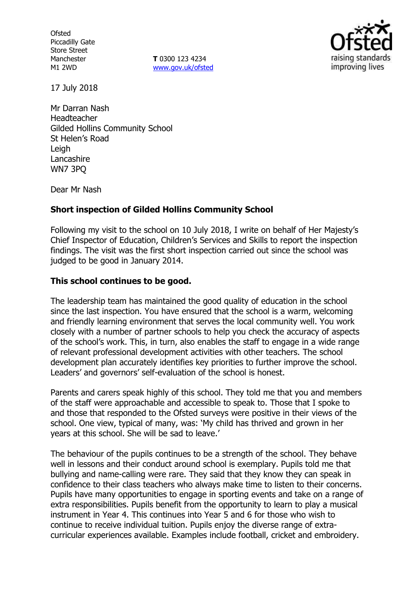**Ofsted** Piccadilly Gate Store Street Manchester M1 2WD

**T** 0300 123 4234 www.gov.uk/ofsted



17 July 2018

Mr Darran Nash Headteacher Gilded Hollins Community School St Helen's Road Leigh Lancashire WN7 3PQ

Dear Mr Nash

### **Short inspection of Gilded Hollins Community School**

Following my visit to the school on 10 July 2018, I write on behalf of Her Majesty's Chief Inspector of Education, Children's Services and Skills to report the inspection findings. The visit was the first short inspection carried out since the school was judged to be good in January 2014.

## **This school continues to be good.**

The leadership team has maintained the good quality of education in the school since the last inspection. You have ensured that the school is a warm, welcoming and friendly learning environment that serves the local community well. You work closely with a number of partner schools to help you check the accuracy of aspects of the school's work. This, in turn, also enables the staff to engage in a wide range of relevant professional development activities with other teachers. The school development plan accurately identifies key priorities to further improve the school. Leaders' and governors' self-evaluation of the school is honest.

Parents and carers speak highly of this school. They told me that you and members of the staff were approachable and accessible to speak to. Those that I spoke to and those that responded to the Ofsted surveys were positive in their views of the school. One view, typical of many, was: 'My child has thrived and grown in her years at this school. She will be sad to leave.'

The behaviour of the pupils continues to be a strength of the school. They behave well in lessons and their conduct around school is exemplary. Pupils told me that bullying and name-calling were rare. They said that they know they can speak in confidence to their class teachers who always make time to listen to their concerns. Pupils have many opportunities to engage in sporting events and take on a range of extra responsibilities. Pupils benefit from the opportunity to learn to play a musical instrument in Year 4. This continues into Year 5 and 6 for those who wish to continue to receive individual tuition. Pupils enjoy the diverse range of extracurricular experiences available. Examples include football, cricket and embroidery.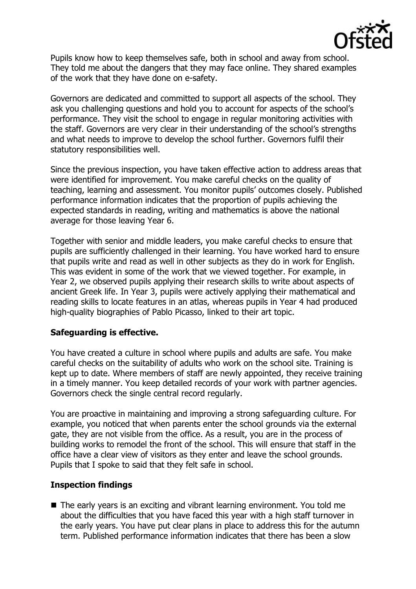

Pupils know how to keep themselves safe, both in school and away from school. They told me about the dangers that they may face online. They shared examples of the work that they have done on e-safety.

Governors are dedicated and committed to support all aspects of the school. They ask you challenging questions and hold you to account for aspects of the school's performance. They visit the school to engage in regular monitoring activities with the staff. Governors are very clear in their understanding of the school's strengths and what needs to improve to develop the school further. Governors fulfil their statutory responsibilities well.

Since the previous inspection, you have taken effective action to address areas that were identified for improvement. You make careful checks on the quality of teaching, learning and assessment. You monitor pupils' outcomes closely. Published performance information indicates that the proportion of pupils achieving the expected standards in reading, writing and mathematics is above the national average for those leaving Year 6.

Together with senior and middle leaders, you make careful checks to ensure that pupils are sufficiently challenged in their learning. You have worked hard to ensure that pupils write and read as well in other subjects as they do in work for English. This was evident in some of the work that we viewed together. For example, in Year 2, we observed pupils applying their research skills to write about aspects of ancient Greek life. In Year 3, pupils were actively applying their mathematical and reading skills to locate features in an atlas, whereas pupils in Year 4 had produced high-quality biographies of Pablo Picasso, linked to their art topic.

### **Safeguarding is effective.**

You have created a culture in school where pupils and adults are safe. You make careful checks on the suitability of adults who work on the school site. Training is kept up to date. Where members of staff are newly appointed, they receive training in a timely manner. You keep detailed records of your work with partner agencies. Governors check the single central record regularly.

You are proactive in maintaining and improving a strong safeguarding culture. For example, you noticed that when parents enter the school grounds via the external gate, they are not visible from the office. As a result, you are in the process of building works to remodel the front of the school. This will ensure that staff in the office have a clear view of visitors as they enter and leave the school grounds. Pupils that I spoke to said that they felt safe in school.

### **Inspection findings**

The early years is an exciting and vibrant learning environment. You told me about the difficulties that you have faced this year with a high staff turnover in the early years. You have put clear plans in place to address this for the autumn term. Published performance information indicates that there has been a slow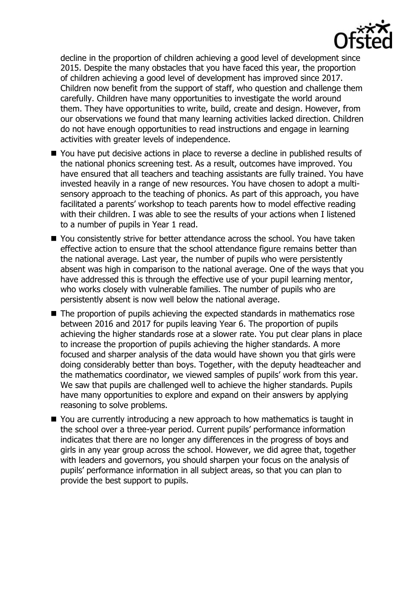

decline in the proportion of children achieving a good level of development since 2015. Despite the many obstacles that you have faced this year, the proportion of children achieving a good level of development has improved since 2017. Children now benefit from the support of staff, who question and challenge them carefully. Children have many opportunities to investigate the world around them. They have opportunities to write, build, create and design. However, from our observations we found that many learning activities lacked direction. Children do not have enough opportunities to read instructions and engage in learning activities with greater levels of independence.

- You have put decisive actions in place to reverse a decline in published results of the national phonics screening test. As a result, outcomes have improved. You have ensured that all teachers and teaching assistants are fully trained. You have invested heavily in a range of new resources. You have chosen to adopt a multisensory approach to the teaching of phonics. As part of this approach, you have facilitated a parents' workshop to teach parents how to model effective reading with their children. I was able to see the results of your actions when I listened to a number of pupils in Year 1 read.
- You consistently strive for better attendance across the school. You have taken effective action to ensure that the school attendance figure remains better than the national average. Last year, the number of pupils who were persistently absent was high in comparison to the national average. One of the ways that you have addressed this is through the effective use of your pupil learning mentor, who works closely with vulnerable families. The number of pupils who are persistently absent is now well below the national average.
- The proportion of pupils achieving the expected standards in mathematics rose between 2016 and 2017 for pupils leaving Year 6. The proportion of pupils achieving the higher standards rose at a slower rate. You put clear plans in place to increase the proportion of pupils achieving the higher standards. A more focused and sharper analysis of the data would have shown you that girls were doing considerably better than boys. Together, with the deputy headteacher and the mathematics coordinator, we viewed samples of pupils' work from this year. We saw that pupils are challenged well to achieve the higher standards. Pupils have many opportunities to explore and expand on their answers by applying reasoning to solve problems.
- You are currently introducing a new approach to how mathematics is taught in the school over a three-year period. Current pupils' performance information indicates that there are no longer any differences in the progress of boys and girls in any year group across the school. However, we did agree that, together with leaders and governors, you should sharpen your focus on the analysis of pupils' performance information in all subject areas, so that you can plan to provide the best support to pupils.